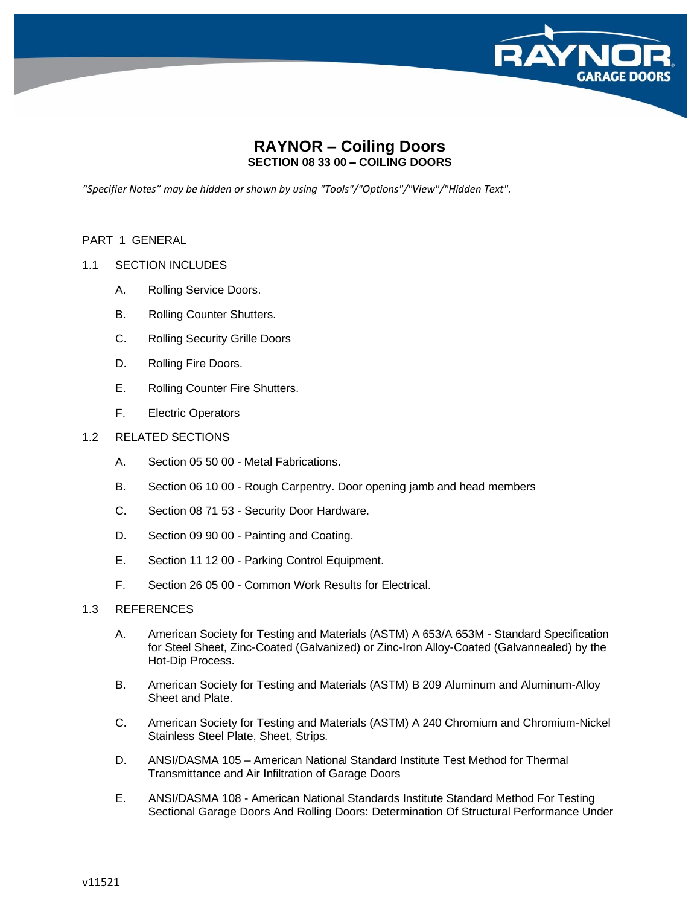

# **RAYNOR – Coiling Doors SECTION 08 33 00 – COILING DOORS**

*"Specifier Notes" may be hidden or shown by using "Tools"/"Options"/"View"/"Hidden Text".*

#### PART 1 GENERAL

## 1.1 SECTION INCLUDES

- A. Rolling Service Doors.
- B. Rolling Counter Shutters.
- C. Rolling Security Grille Doors
- D. Rolling Fire Doors.
- E. Rolling Counter Fire Shutters.
- F. Electric Operators

## 1.2 RELATED SECTIONS

- A. Section 05 50 00 Metal Fabrications.
- B. Section 06 10 00 Rough Carpentry. Door opening jamb and head members
- C. Section 08 71 53 Security Door Hardware.
- D. Section 09 90 00 Painting and Coating.
- E. Section 11 12 00 Parking Control Equipment.
- F. Section 26 05 00 Common Work Results for Electrical.

## 1.3 REFERENCES

- A. American Society for Testing and Materials (ASTM) A 653/A 653M Standard Specification for Steel Sheet, Zinc-Coated (Galvanized) or Zinc-Iron Alloy-Coated (Galvannealed) by the Hot-Dip Process.
- B. American Society for Testing and Materials (ASTM) B 209 Aluminum and Aluminum-Alloy Sheet and Plate.
- C. American Society for Testing and Materials (ASTM) A 240 Chromium and Chromium-Nickel Stainless Steel Plate, Sheet, Strips.
- D. ANSI/DASMA 105 American National Standard Institute Test Method for Thermal Transmittance and Air Infiltration of Garage Doors
- E. ANSI/DASMA 108 American National Standards Institute Standard Method For Testing Sectional Garage Doors And Rolling Doors: Determination Of Structural Performance Under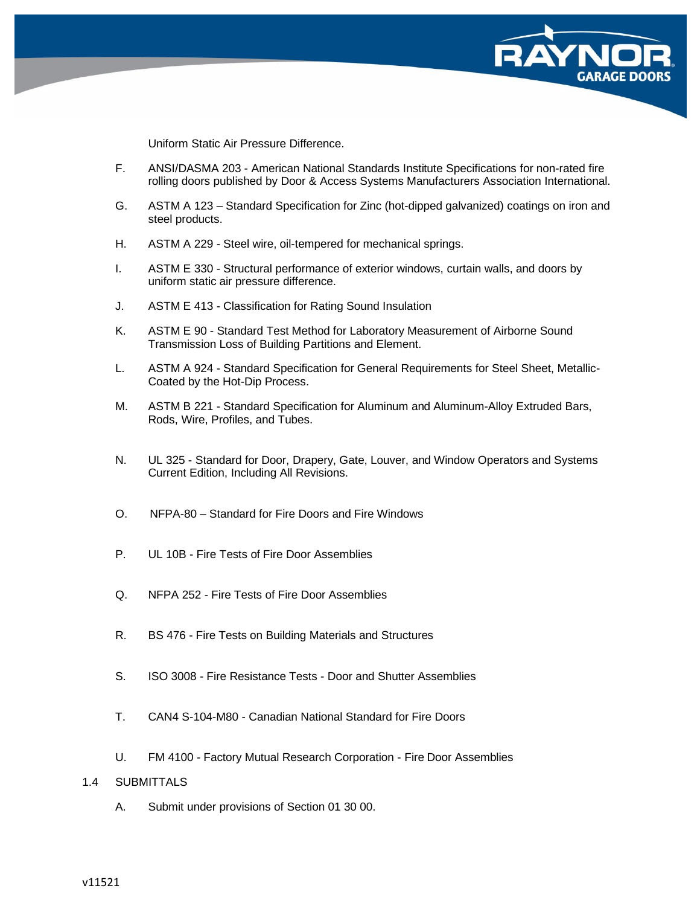

Uniform Static Air Pressure Difference.

- F. ANSI/DASMA 203 American National Standards Institute Specifications for non-rated fire rolling doors published by Door & Access Systems Manufacturers Association International.
- G. ASTM A 123 Standard Specification for Zinc (hot-dipped galvanized) coatings on iron and steel products.
- H. ASTM A 229 Steel wire, oil-tempered for mechanical springs.
- I. ASTM E 330 Structural performance of exterior windows, curtain walls, and doors by uniform static air pressure difference.
- J. ASTM E 413 Classification for Rating Sound Insulation
- K. ASTM E 90 Standard Test Method for Laboratory Measurement of Airborne Sound Transmission Loss of Building Partitions and Element.
- L. ASTM A 924 Standard Specification for General Requirements for Steel Sheet, Metallic-Coated by the Hot-Dip Process.
- M. ASTM B 221 Standard Specification for Aluminum and Aluminum-Alloy Extruded Bars, Rods, Wire, Profiles, and Tubes.
- N. UL 325 Standard for Door, Drapery, Gate, Louver, and Window Operators and Systems Current Edition, Including All Revisions.
- O. NFPA-80 Standard for Fire Doors and Fire Windows
- P. UL 10B Fire Tests of Fire Door Assemblies
- Q. NFPA 252 Fire Tests of Fire Door Assemblies
- R. BS 476 Fire Tests on Building Materials and Structures
- S. ISO 3008 Fire Resistance Tests Door and Shutter Assemblies
- T. CAN4 S-104-M80 Canadian National Standard for Fire Doors
- U. FM 4100 Factory Mutual Research Corporation Fire Door Assemblies

## 1.4 SUBMITTALS

A. Submit under provisions of Section 01 30 00.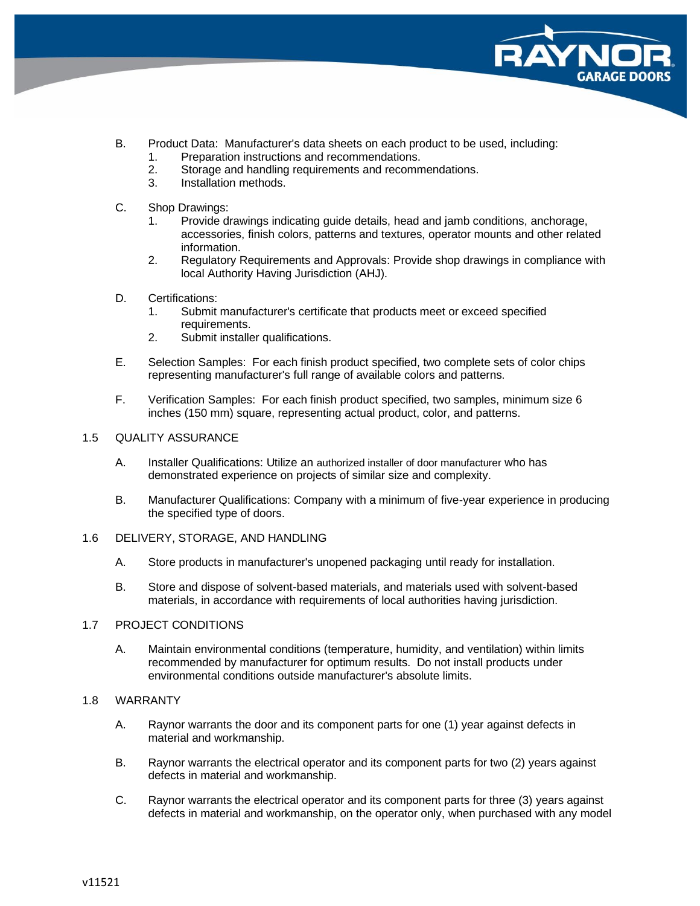

- B. Product Data: Manufacturer's data sheets on each product to be used, including:
	- 1. Preparation instructions and recommendations.
	- 2. Storage and handling requirements and recommendations.
	- 3. Installation methods.
- C. Shop Drawings:
	- 1. Provide drawings indicating guide details, head and jamb conditions, anchorage, accessories, finish colors, patterns and textures, operator mounts and other related information.
	- 2. Regulatory Requirements and Approvals: Provide shop drawings in compliance with local Authority Having Jurisdiction (AHJ).
- D. Certifications:
	- 1. Submit manufacturer's certificate that products meet or exceed specified requirements.
	- 2. Submit installer qualifications.
- E. Selection Samples: For each finish product specified, two complete sets of color chips representing manufacturer's full range of available colors and patterns.
- F. Verification Samples: For each finish product specified, two samples, minimum size 6 inches (150 mm) square, representing actual product, color, and patterns.

#### 1.5 QUALITY ASSURANCE

- A. Installer Qualifications: Utilize an authorized installer of door manufacturer who has demonstrated experience on projects of similar size and complexity.
- B. Manufacturer Qualifications: Company with a minimum of five-year experience in producing the specified type of doors.
- 1.6 DELIVERY, STORAGE, AND HANDLING
	- A. Store products in manufacturer's unopened packaging until ready for installation.
	- B. Store and dispose of solvent-based materials, and materials used with solvent-based materials, in accordance with requirements of local authorities having jurisdiction.

## 1.7 PROJECT CONDITIONS

A. Maintain environmental conditions (temperature, humidity, and ventilation) within limits recommended by manufacturer for optimum results. Do not install products under environmental conditions outside manufacturer's absolute limits.

#### 1.8 WARRANTY

- A. Raynor warrants the door and its component parts for one (1) year against defects in material and workmanship.
- B. Raynor warrants the electrical operator and its component parts for two (2) years against defects in material and workmanship.
- C. Raynor warrants the electrical operator and its component parts for three (3) years against defects in material and workmanship, on the operator only, when purchased with any model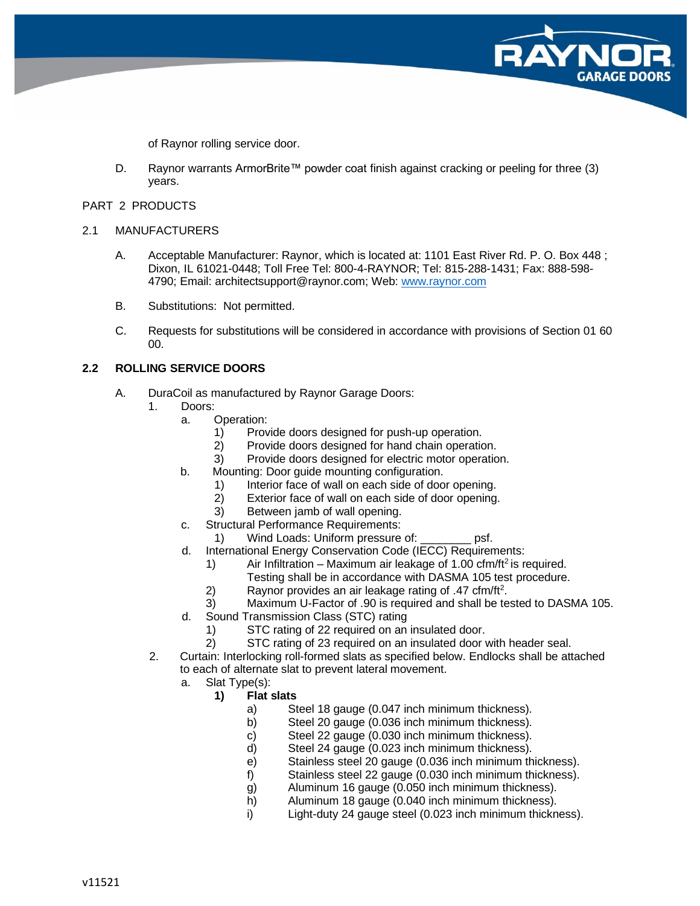of Raynor rolling service door.

D. Raynor warrants ArmorBrite™ powder coat finish against cracking or peeling for three (3) years.

#### PART 2 PRODUCTS

### 2.1 MANUFACTURERS

- A. Acceptable Manufacturer: Raynor, which is located at: 1101 East River Rd. P. O. Box 448 ; Dixon, IL 61021-0448; Toll Free Tel: 800-4-RAYNOR; Tel: 815-288-1431; Fax: 888-598- 4790; Email: architectsupport@raynor.com; Web: [www.raynor.com](http://www.raynor.com/)
- B. Substitutions: Not permitted.
- C. Requests for substitutions will be considered in accordance with provisions of Section 01 60 00.

## **2.2 ROLLING SERVICE DOORS**

- A. DuraCoil as manufactured by Raynor Garage Doors:
	- 1. Doors:
		- a. Operation:
			- 1) Provide doors designed for push-up operation.
			- 2) Provide doors designed for hand chain operation.
			- 3) Provide doors designed for electric motor operation.
		- b. Mounting: Door guide mounting configuration.
			- 1) Interior face of wall on each side of door opening.
			- 2) Exterior face of wall on each side of door opening.
			- 3) Between jamb of wall opening.
		- c. Structural Performance Requirements:
			- 1) Wind Loads: Uniform pressure of: \_\_\_\_\_\_\_\_\_ psf.
		- d. International Energy Conservation Code (IECC) Requirements:
			- 1) Air Infiltration Maximum air leakage of 1.00 cfm/ft<sup>2</sup> is required.
				- Testing shall be in accordance with DASMA 105 test procedure.
			- 2) Raynor provides an air leakage rating of  $.47 \text{ cfm/ft}^2$ .
			- 3) Maximum U-Factor of .90 is required and shall be tested to DASMA 105.
		- d. Sound Transmission Class (STC) rating
			- 1) STC rating of 22 required on an insulated door.
			- 2) STC rating of 23 required on an insulated door with header seal.
	- 2. Curtain: Interlocking roll-formed slats as specified below. Endlocks shall be attached to each of alternate slat to prevent lateral movement.
		- a. Slat Type(s):

## **1) Flat slats**

- a) Steel 18 gauge (0.047 inch minimum thickness).
- b) Steel 20 gauge (0.036 inch minimum thickness).
- c) Steel 22 gauge (0.030 inch minimum thickness).
- d) Steel 24 gauge (0.023 inch minimum thickness).
- e) Stainless steel 20 gauge (0.036 inch minimum thickness).
- f) Stainless steel 22 gauge (0.030 inch minimum thickness).
- g) Aluminum 16 gauge (0.050 inch minimum thickness).
- h) Aluminum 18 gauge (0.040 inch minimum thickness).
- i) Light-duty 24 gauge steel (0.023 inch minimum thickness).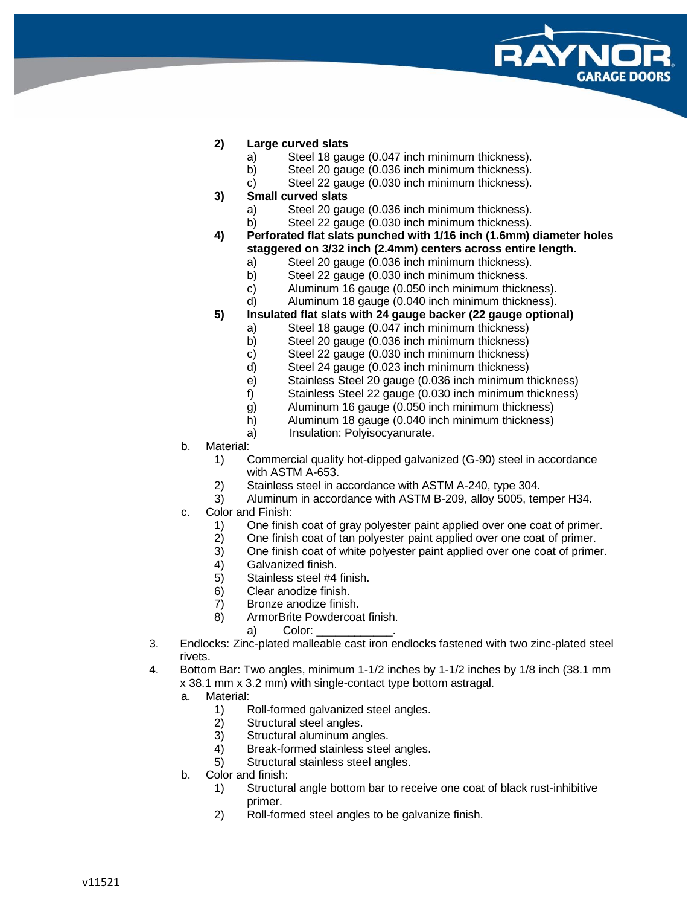

## **2) Large curved slats**

- a) Steel 18 gauge (0.047 inch minimum thickness).
- b) Steel 20 gauge (0.036 inch minimum thickness).
- c) Steel 22 gauge (0.030 inch minimum thickness).
- **3) Small curved slats**
	- a) Steel 20 gauge (0.036 inch minimum thickness).
	- b) Steel 22 gauge (0.030 inch minimum thickness).
- **4) Perforated flat slats punched with 1/16 inch (1.6mm) diameter holes staggered on 3/32 inch (2.4mm) centers across entire length.**
	- a) Steel 20 gauge (0.036 inch minimum thickness).
	- b) Steel 22 gauge (0.030 inch minimum thickness.
	- c) Aluminum 16 gauge (0.050 inch minimum thickness).
	- d) Aluminum 18 gauge (0.040 inch minimum thickness).
- **5) Insulated flat slats with 24 gauge backer (22 gauge optional)**
	- a) Steel 18 gauge (0.047 inch minimum thickness)
	- b) Steel 20 gauge (0.036 inch minimum thickness)
	- c) Steel 22 gauge (0.030 inch minimum thickness)
	- d) Steel 24 gauge (0.023 inch minimum thickness)
	- e) Stainless Steel 20 gauge (0.036 inch minimum thickness)
	- f) Stainless Steel 22 gauge (0.030 inch minimum thickness)
	- g) Aluminum 16 gauge (0.050 inch minimum thickness)
	- h) Aluminum 18 gauge (0.040 inch minimum thickness)
	- a) Insulation: Polyisocyanurate.
- b. Material:
	- 1) Commercial quality hot-dipped galvanized (G-90) steel in accordance with ASTM A-653.
	- 2) Stainless steel in accordance with ASTM A-240, type 304.
	- 3) Aluminum in accordance with ASTM B-209, alloy 5005, temper H34.
- c. Color and Finish:
	- 1) One finish coat of gray polyester paint applied over one coat of primer.
	- 2) One finish coat of tan polyester paint applied over one coat of primer.
	- 3) One finish coat of white polyester paint applied over one coat of primer.
	- 4) Galvanized finish.
	- 5) Stainless steel #4 finish.
	- 6) Clear anodize finish.
	- 7) Bronze anodize finish.
	- 8) ArmorBrite Powdercoat finish.

a) Color:

- 3. Endlocks: Zinc-plated malleable cast iron endlocks fastened with two zinc-plated steel rivets.
- 4. Bottom Bar: Two angles, minimum 1-1/2 inches by 1-1/2 inches by 1/8 inch (38.1 mm x 38.1 mm x 3.2 mm) with single-contact type bottom astragal.
	- a. Material:
		- 1) Roll-formed galvanized steel angles.
		- 2) Structural steel angles.
		- 3) Structural aluminum angles.
		- 4) Break-formed stainless steel angles.
		- 5) Structural stainless steel angles.
	- b. Color and finish:
		- 1) Structural angle bottom bar to receive one coat of black rust-inhibitive primer.
		- 2) Roll-formed steel angles to be galvanize finish.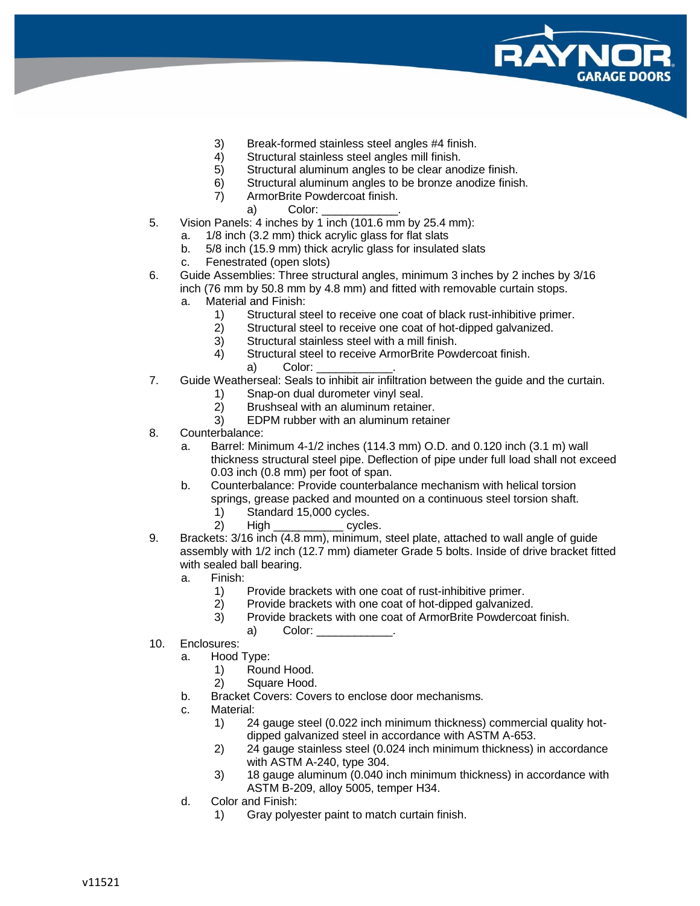

- 3) Break-formed stainless steel angles #4 finish.
- 4) Structural stainless steel angles mill finish.
- 5) Structural aluminum angles to be clear anodize finish.
- 6) Structural aluminum angles to be bronze anodize finish.
- 7) ArmorBrite Powdercoat finish.
	- a) Color:
- 5. Vision Panels: 4 inches by 1 inch (101.6 mm by 25.4 mm):
	- a. 1/8 inch (3.2 mm) thick acrylic glass for flat slats
	- b. 5/8 inch (15.9 mm) thick acrylic glass for insulated slats
	- c. Fenestrated (open slots)
- 6. Guide Assemblies: Three structural angles, minimum 3 inches by 2 inches by 3/16 inch (76 mm by 50.8 mm by 4.8 mm) and fitted with removable curtain stops.
	- a. Material and Finish:
		- 1) Structural steel to receive one coat of black rust-inhibitive primer.
		- 2) Structural steel to receive one coat of hot-dipped galvanized.
		- 3) Structural stainless steel with a mill finish.
		- 4) Structural steel to receive ArmorBrite Powdercoat finish.
			- a) Color:
- 7. Guide Weatherseal: Seals to inhibit air infiltration between the guide and the curtain.
	- 1) Snap-on dual durometer vinyl seal.
	- 2) Brushseal with an aluminum retainer.
	- 3) EDPM rubber with an aluminum retainer
- 8. Counterbalance:
	- a. Barrel: Minimum 4-1/2 inches (114.3 mm) O.D. and 0.120 inch (3.1 m) wall thickness structural steel pipe. Deflection of pipe under full load shall not exceed 0.03 inch (0.8 mm) per foot of span.
	- b. Counterbalance: Provide counterbalance mechanism with helical torsion springs, grease packed and mounted on a continuous steel torsion shaft.
		- 1) Standard 15,000 cycles.
		- 2) High cycles.
- 9. Brackets: 3/16 inch (4.8 mm), minimum, steel plate, attached to wall angle of guide assembly with 1/2 inch (12.7 mm) diameter Grade 5 bolts. Inside of drive bracket fitted with sealed ball bearing.
	- a. Finish:
		- 1) Provide brackets with one coat of rust-inhibitive primer.
		- 2) Provide brackets with one coat of hot-dipped galvanized.
		- 3) Provide brackets with one coat of ArmorBrite Powdercoat finish.
			- a) Color:
- 10. Enclosures:
	- a. Hood Type:
		- 1) Round Hood.
		- 2) Square Hood.
	- b. Bracket Covers: Covers to enclose door mechanisms.
	- c. Material:
		- 1) 24 gauge steel (0.022 inch minimum thickness) commercial quality hotdipped galvanized steel in accordance with ASTM A-653.
		- 2) 24 gauge stainless steel (0.024 inch minimum thickness) in accordance with ASTM A-240, type 304.
		- 3) 18 gauge aluminum (0.040 inch minimum thickness) in accordance with ASTM B-209, alloy 5005, temper H34.
	- d. Color and Finish:
		- 1) Gray polyester paint to match curtain finish.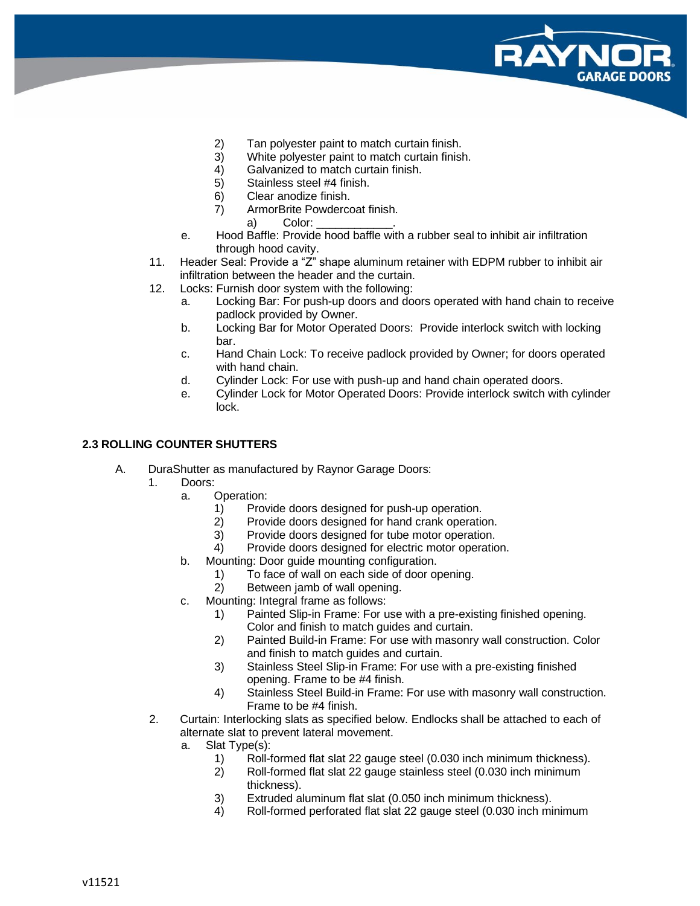

- 2) Tan polyester paint to match curtain finish.
- 3) White polyester paint to match curtain finish.
- 4) Galvanized to match curtain finish.<br>5) Stainless steel #4 finish.
- Stainless steel #4 finish.
- 6) Clear anodize finish.
- 7) ArmorBrite Powdercoat finish.
	- a) Color:
- e. Hood Baffle: Provide hood baffle with a rubber seal to inhibit air infiltration through hood cavity.
- 11. Header Seal: Provide a "Z" shape aluminum retainer with EDPM rubber to inhibit air infiltration between the header and the curtain.
- 12. Locks: Furnish door system with the following:
	- a. Locking Bar: For push-up doors and doors operated with hand chain to receive padlock provided by Owner.
	- b. Locking Bar for Motor Operated Doors: Provide interlock switch with locking bar.
	- c. Hand Chain Lock: To receive padlock provided by Owner; for doors operated with hand chain.
	- d. Cylinder Lock: For use with push-up and hand chain operated doors.
	- e. Cylinder Lock for Motor Operated Doors: Provide interlock switch with cylinder lock.

#### **2.3 ROLLING COUNTER SHUTTERS**

- A. DuraShutter as manufactured by Raynor Garage Doors:
	- 1. Doors:
		- a. Operation:
			- 1) Provide doors designed for push-up operation.
			- 2) Provide doors designed for hand crank operation.
			- 3) Provide doors designed for tube motor operation.
			- 4) Provide doors designed for electric motor operation.
		- b. Mounting: Door guide mounting configuration.
			- 1) To face of wall on each side of door opening.
			- 2) Between jamb of wall opening.
		- c. Mounting: Integral frame as follows:
			- 1) Painted Slip-in Frame: For use with a pre-existing finished opening. Color and finish to match guides and curtain.
			- 2) Painted Build-in Frame: For use with masonry wall construction. Color and finish to match guides and curtain.
			- 3) Stainless Steel Slip-in Frame: For use with a pre-existing finished opening. Frame to be #4 finish.
			- 4) Stainless Steel Build-in Frame: For use with masonry wall construction. Frame to be #4 finish.
		- 2. Curtain: Interlocking slats as specified below. Endlocks shall be attached to each of alternate slat to prevent lateral movement.
			- a. Slat Type(s):
				- 1) Roll-formed flat slat 22 gauge steel (0.030 inch minimum thickness).
				- 2) Roll-formed flat slat 22 gauge stainless steel (0.030 inch minimum thickness).
				- 3) Extruded aluminum flat slat (0.050 inch minimum thickness).
				- 4) Roll-formed perforated flat slat 22 gauge steel (0.030 inch minimum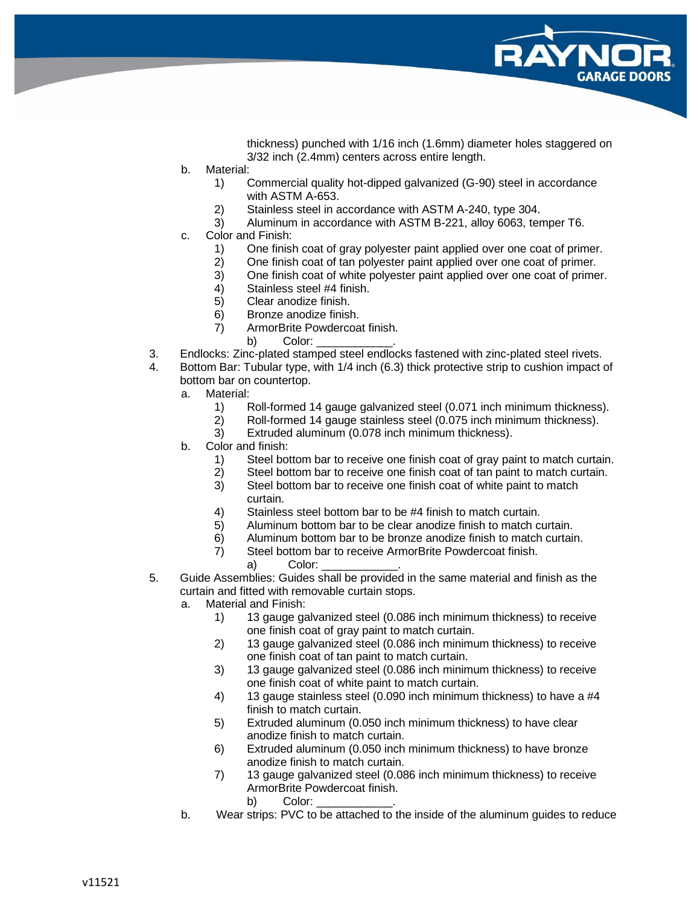

thickness) punched with 1/16 inch (1.6mm) diameter holes staggered on 3/32 inch (2.4mm) centers across entire length.

- b. Material:
	- 1) Commercial quality hot-dipped galvanized (G-90) steel in accordance with ASTM A-653.
	- 2) Stainless steel in accordance with ASTM A-240, type 304.
	- 3) Aluminum in accordance with ASTM B-221, alloy 6063, temper T6.
- c. Color and Finish:
	- 1) One finish coat of gray polyester paint applied over one coat of primer.
	- 2) One finish coat of tan polyester paint applied over one coat of primer.
	- 3) One finish coat of white polyester paint applied over one coat of primer.
	- 4) Stainless steel #4 finish.<br>5) Clear anodize finish.
	- 5) Clear anodize finish.
	- 6) Bronze anodize finish.
	- 7) ArmorBrite Powdercoat finish.
		- b) Color:
- 3. Endlocks: Zinc-plated stamped steel endlocks fastened with zinc-plated steel rivets.
- 4. Bottom Bar: Tubular type, with 1/4 inch (6.3) thick protective strip to cushion impact of bottom bar on countertop.
	- a. Material:
		- 1) Roll-formed 14 gauge galvanized steel (0.071 inch minimum thickness).
		- 2) Roll-formed 14 gauge stainless steel (0.075 inch minimum thickness).
		- 3) Extruded aluminum (0.078 inch minimum thickness).
	- b. Color and finish:
		- 1) Steel bottom bar to receive one finish coat of gray paint to match curtain.
		- 2) Steel bottom bar to receive one finish coat of tan paint to match curtain.
		- 3) Steel bottom bar to receive one finish coat of white paint to match curtain.
		- 4) Stainless steel bottom bar to be #4 finish to match curtain.
		- 5) Aluminum bottom bar to be clear anodize finish to match curtain.
		- 6) Aluminum bottom bar to be bronze anodize finish to match curtain.
		- 7) Steel bottom bar to receive ArmorBrite Powdercoat finish.
			- a) Color:
- 5. Guide Assemblies: Guides shall be provided in the same material and finish as the curtain and fitted with removable curtain stops.
	- a. Material and Finish:
		- 1) 13 gauge galvanized steel (0.086 inch minimum thickness) to receive one finish coat of gray paint to match curtain.
		- 2) 13 gauge galvanized steel (0.086 inch minimum thickness) to receive one finish coat of tan paint to match curtain.
		- 3) 13 gauge galvanized steel (0.086 inch minimum thickness) to receive one finish coat of white paint to match curtain.
		- 4) 13 gauge stainless steel (0.090 inch minimum thickness) to have a #4 finish to match curtain.
		- 5) Extruded aluminum (0.050 inch minimum thickness) to have clear anodize finish to match curtain.
		- 6) Extruded aluminum (0.050 inch minimum thickness) to have bronze anodize finish to match curtain.
		- 7) 13 gauge galvanized steel (0.086 inch minimum thickness) to receive ArmorBrite Powdercoat finish.
			- b) Color:
	- b. Wear strips: PVC to be attached to the inside of the aluminum guides to reduce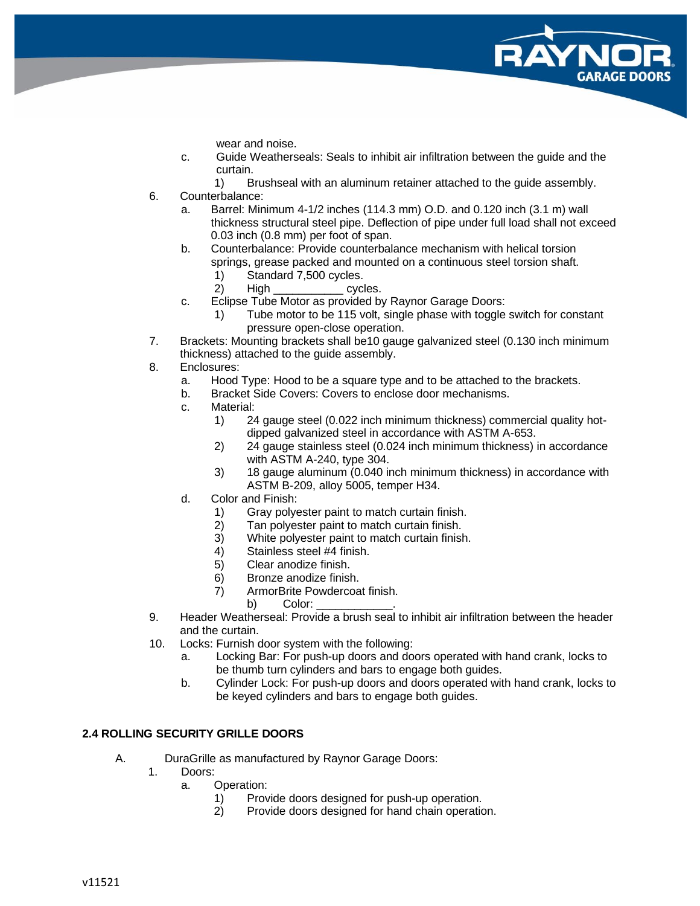wear and noise.

- c. Guide Weatherseals: Seals to inhibit air infiltration between the guide and the curtain.
	- 1) Brushseal with an aluminum retainer attached to the guide assembly.
- 6. Counterbalance:
	- a. Barrel: Minimum 4-1/2 inches (114.3 mm) O.D. and 0.120 inch (3.1 m) wall thickness structural steel pipe. Deflection of pipe under full load shall not exceed 0.03 inch (0.8 mm) per foot of span.
	- b. Counterbalance: Provide counterbalance mechanism with helical torsion springs, grease packed and mounted on a continuous steel torsion shaft.
		- 1) Standard 7,500 cycles.
		- 2) High cycles.
	- c. Eclipse Tube Motor as provided by Raynor Garage Doors:
		- 1) Tube motor to be 115 volt, single phase with toggle switch for constant pressure open-close operation.
- 7. Brackets: Mounting brackets shall be10 gauge galvanized steel (0.130 inch minimum thickness) attached to the guide assembly.
- 8. Enclosures:
	- a. Hood Type: Hood to be a square type and to be attached to the brackets.
	- b. Bracket Side Covers: Covers to enclose door mechanisms.
	- c. Material:
		- 1) 24 gauge steel (0.022 inch minimum thickness) commercial quality hotdipped galvanized steel in accordance with ASTM A-653.
		- 2) 24 gauge stainless steel (0.024 inch minimum thickness) in accordance with ASTM A-240, type 304.
		- 3) 18 gauge aluminum (0.040 inch minimum thickness) in accordance with ASTM B-209, alloy 5005, temper H34.
	- d. Color and Finish:
		- 1) Gray polyester paint to match curtain finish.
		- 2) Tan polyester paint to match curtain finish.
		- 3) White polyester paint to match curtain finish.
		- 4) Stainless steel #4 finish.
		- 5) Clear anodize finish.
		- 6) Bronze anodize finish.
		- 7) ArmorBrite Powdercoat finish.
			- b) Color:
- 9. Header Weatherseal: Provide a brush seal to inhibit air infiltration between the header and the curtain.
- 10. Locks: Furnish door system with the following:
	- a. Locking Bar: For push-up doors and doors operated with hand crank, locks to be thumb turn cylinders and bars to engage both guides.
	- b. Cylinder Lock: For push-up doors and doors operated with hand crank, locks to be keyed cylinders and bars to engage both guides.

## **2.4 ROLLING SECURITY GRILLE DOORS**

- A. DuraGrille as manufactured by Raynor Garage Doors:
	- 1. Doors:
		- a. Operation:
			- 1) Provide doors designed for push-up operation.
			- 2) Provide doors designed for hand chain operation.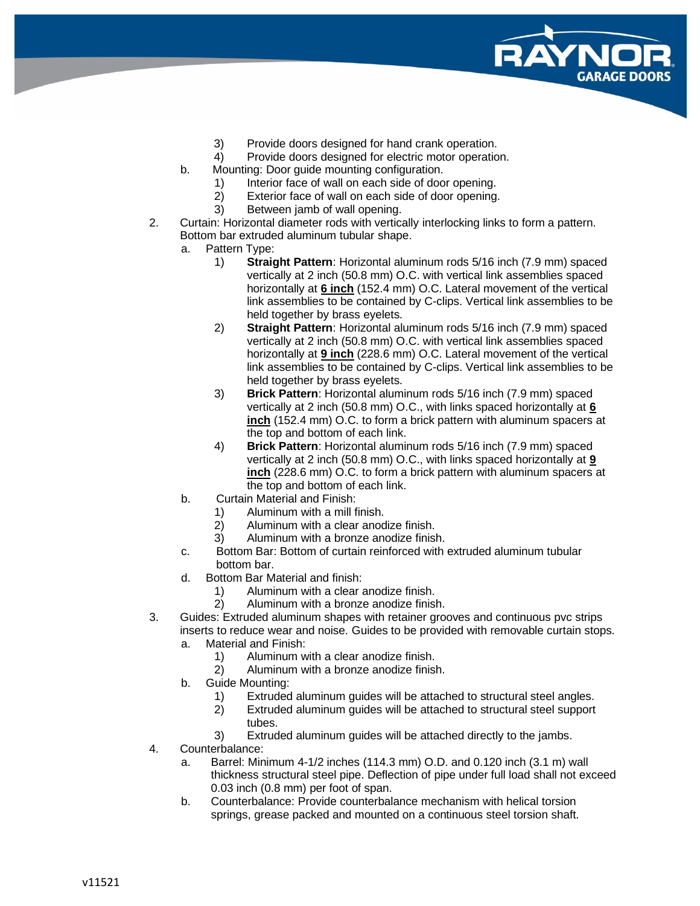

- 3) Provide doors designed for hand crank operation.
- 4) Provide doors designed for electric motor operation.
- b. Mounting: Door guide mounting configuration.
	- 1) Interior face of wall on each side of door opening.
	- 2) Exterior face of wall on each side of door opening.
	- 3) Between jamb of wall opening.
- 2. Curtain: Horizontal diameter rods with vertically interlocking links to form a pattern. Bottom bar extruded aluminum tubular shape.
	- a. Pattern Type:
		- 1) **Straight Pattern**: Horizontal aluminum rods 5/16 inch (7.9 mm) spaced vertically at 2 inch (50.8 mm) O.C. with vertical link assemblies spaced horizontally at **6 inch** (152.4 mm) O.C. Lateral movement of the vertical link assemblies to be contained by C-clips. Vertical link assemblies to be held together by brass eyelets.
		- 2) **Straight Pattern**: Horizontal aluminum rods 5/16 inch (7.9 mm) spaced vertically at 2 inch (50.8 mm) O.C. with vertical link assemblies spaced horizontally at **9 inch** (228.6 mm) O.C. Lateral movement of the vertical link assemblies to be contained by C-clips. Vertical link assemblies to be held together by brass eyelets.
		- 3) **Brick Pattern**: Horizontal aluminum rods 5/16 inch (7.9 mm) spaced vertically at 2 inch (50.8 mm) O.C., with links spaced horizontally at **6 inch** (152.4 mm) O.C. to form a brick pattern with aluminum spacers at the top and bottom of each link.
		- 4) **Brick Pattern**: Horizontal aluminum rods 5/16 inch (7.9 mm) spaced vertically at 2 inch (50.8 mm) O.C., with links spaced horizontally at **9 inch** (228.6 mm) O.C. to form a brick pattern with aluminum spacers at the top and bottom of each link.
	- b. Curtain Material and Finish:
		- 1) Aluminum with a mill finish.
		- 2) Aluminum with a clear anodize finish.
		- 3) Aluminum with a bronze anodize finish.
	- c. Bottom Bar: Bottom of curtain reinforced with extruded aluminum tubular bottom bar.
	- d. Bottom Bar Material and finish:
		- 1) Aluminum with a clear anodize finish.
		- 2) Aluminum with a bronze anodize finish.
- 3. Guides: Extruded aluminum shapes with retainer grooves and continuous pvc strips inserts to reduce wear and noise. Guides to be provided with removable curtain stops.
	- a. Material and Finish:
		- 1) Aluminum with a clear anodize finish.
		- 2) Aluminum with a bronze anodize finish.
	- b. Guide Mounting:
		- 1) Extruded aluminum guides will be attached to structural steel angles.
		- 2) Extruded aluminum guides will be attached to structural steel support tubes.
		- 3) Extruded aluminum guides will be attached directly to the jambs.
- 4. Counterbalance:
	- a. Barrel: Minimum 4-1/2 inches (114.3 mm) O.D. and 0.120 inch (3.1 m) wall thickness structural steel pipe. Deflection of pipe under full load shall not exceed 0.03 inch (0.8 mm) per foot of span.
	- b. Counterbalance: Provide counterbalance mechanism with helical torsion springs, grease packed and mounted on a continuous steel torsion shaft.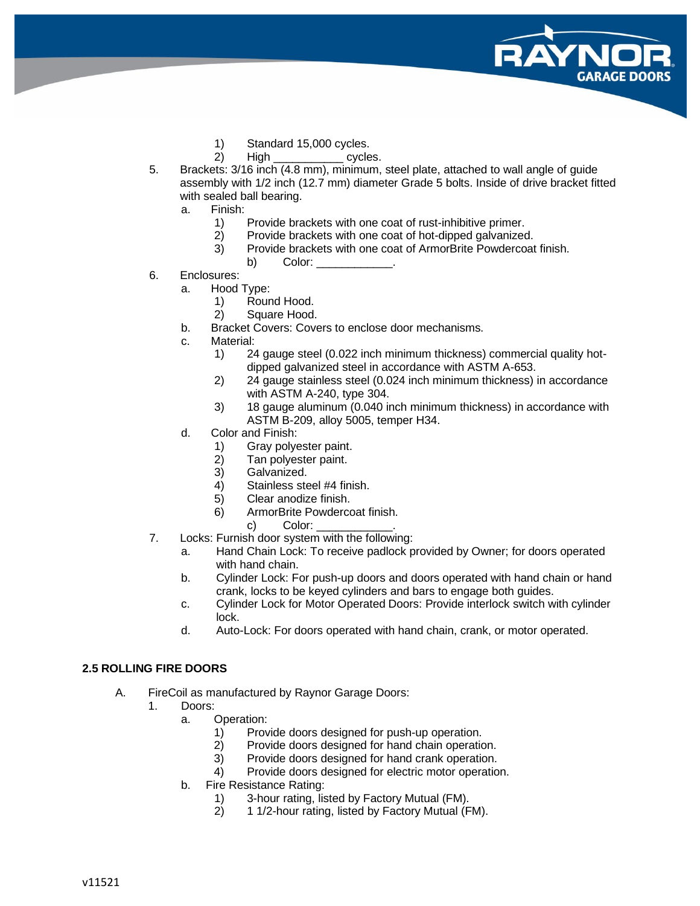- 1) Standard 15,000 cycles.
- 2) High cycles.
- 5. Brackets: 3/16 inch (4.8 mm), minimum, steel plate, attached to wall angle of guide assembly with 1/2 inch (12.7 mm) diameter Grade 5 bolts. Inside of drive bracket fitted with sealed ball bearing.
	- a. Finish:
		- 1) Provide brackets with one coat of rust-inhibitive primer.<br>2) Provide brackets with one coat of hot-dipped galvanized
		- Provide brackets with one coat of hot-dipped galvanized.
		- 3) Provide brackets with one coat of ArmorBrite Powdercoat finish.
			- b) Color:
- 6. Enclosures:
	- a. Hood Type:
		- 1) Round Hood.
		- 2) Square Hood.
	- b. Bracket Covers: Covers to enclose door mechanisms.
	- c. Material:
		- 1) 24 gauge steel (0.022 inch minimum thickness) commercial quality hotdipped galvanized steel in accordance with ASTM A-653.
		- 2) 24 gauge stainless steel (0.024 inch minimum thickness) in accordance with ASTM A-240, type 304.
		- 3) 18 gauge aluminum (0.040 inch minimum thickness) in accordance with ASTM B-209, alloy 5005, temper H34.
	- d. Color and Finish:
		- 1) Gray polyester paint.
		- 2) Tan polyester paint.
		- 3) Galvanized.
		- 4) Stainless steel #4 finish.
		- 5) Clear anodize finish.
		- 6) ArmorBrite Powdercoat finish.
			- c) Color:
- 7. Locks: Furnish door system with the following:
	- a. Hand Chain Lock: To receive padlock provided by Owner; for doors operated with hand chain.
	- b. Cylinder Lock: For push-up doors and doors operated with hand chain or hand crank, locks to be keyed cylinders and bars to engage both guides.
	- c. Cylinder Lock for Motor Operated Doors: Provide interlock switch with cylinder lock.
	- d. Auto-Lock: For doors operated with hand chain, crank, or motor operated.

## **2.5 ROLLING FIRE DOORS**

- A. FireCoil as manufactured by Raynor Garage Doors:
	- 1. Doors:
		- a. Operation:
			- 1) Provide doors designed for push-up operation.
			- 2) Provide doors designed for hand chain operation.
			- 3) Provide doors designed for hand crank operation.
			- 4) Provide doors designed for electric motor operation.
		- b. Fire Resistance Rating:
			- 1) 3-hour rating, listed by Factory Mutual (FM).<br>2) 11/2-hour rating, listed by Factory Mutual (F
			- 2) 1 1/2-hour rating, listed by Factory Mutual (FM).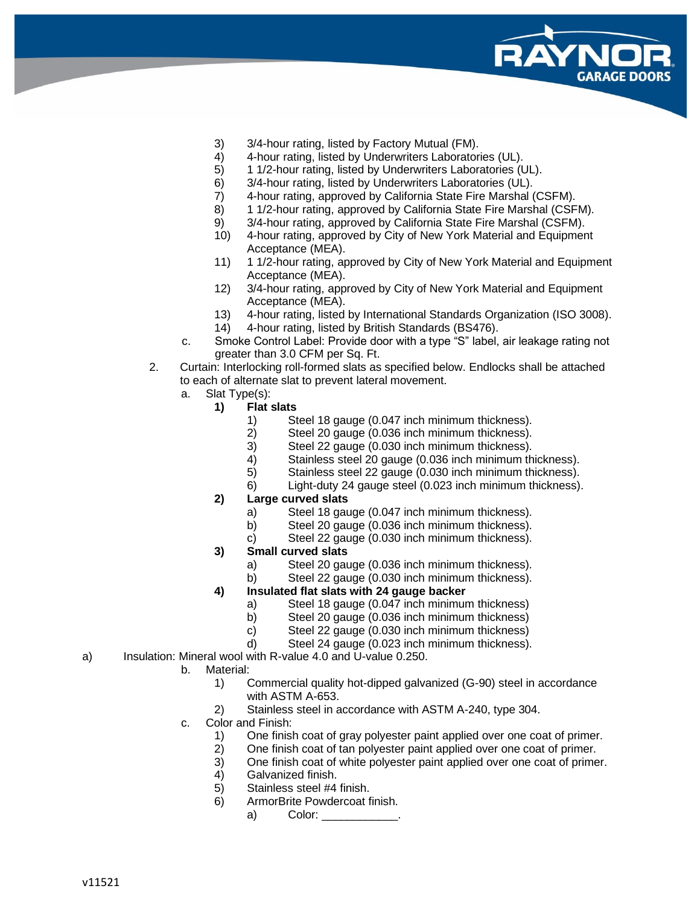

- 3) 3/4-hour rating, listed by Factory Mutual (FM).
- 4) 4-hour rating, listed by Underwriters Laboratories (UL).
- 5) 1 1/2-hour rating, listed by Underwriters Laboratories (UL).
- 6) 3/4-hour rating, listed by Underwriters Laboratories (UL).
- 7) 4-hour rating, approved by California State Fire Marshal (CSFM).
- 8) 1 1/2-hour rating, approved by California State Fire Marshal (CSFM).
- 9) 3/4-hour rating, approved by California State Fire Marshal (CSFM).
- 10) 4-hour rating, approved by City of New York Material and Equipment Acceptance (MEA).
- 11) 1 1/2-hour rating, approved by City of New York Material and Equipment Acceptance (MEA).
- 12) 3/4-hour rating, approved by City of New York Material and Equipment Acceptance (MEA).
- 13) 4-hour rating, listed by International Standards Organization (ISO 3008).
- 14) 4-hour rating, listed by British Standards (BS476).
- c. Smoke Control Label: Provide door with a type "S" label, air leakage rating not greater than 3.0 CFM per Sq. Ft.
- 2. Curtain: Interlocking roll-formed slats as specified below. Endlocks shall be attached to each of alternate slat to prevent lateral movement.
	- a. Slat Type(s):
		- **1) Flat slats**
			- 1) Steel 18 gauge (0.047 inch minimum thickness).
			- 2) Steel 20 gauge (0.036 inch minimum thickness).<br>3) Steel 22 gauge (0.030 inch minimum thickness).
			- Steel 22 gauge (0.030 inch minimum thickness).
			- 4) Stainless steel 20 gauge (0.036 inch minimum thickness).
			- 5) Stainless steel 22 gauge (0.030 inch minimum thickness).
			- 6) Light-duty 24 gauge steel (0.023 inch minimum thickness).
			- **2) Large curved slats**
				- a) Steel 18 gauge (0.047 inch minimum thickness).
				- b) Steel 20 gauge (0.036 inch minimum thickness).
				- c) Steel 22 gauge (0.030 inch minimum thickness).
			- **3) Small curved slats**
				- a) Steel 20 gauge (0.036 inch minimum thickness).
				- b) Steel 22 gauge (0.030 inch minimum thickness).

## **4) Insulated flat slats with 24 gauge backer**

- a) Steel 18 gauge (0.047 inch minimum thickness)
- b) Steel 20 gauge (0.036 inch minimum thickness)
- c) Steel 22 gauge (0.030 inch minimum thickness)
- d) Steel 24 gauge (0.023 inch minimum thickness).
- a) Insulation: Mineral wool with R-value 4.0 and U-value 0.250.
	- b. Material:
		- 1) Commercial quality hot-dipped galvanized (G-90) steel in accordance with ASTM A-653.
		- 2) Stainless steel in accordance with ASTM A-240, type 304.
	- c. Color and Finish:
		- 1) One finish coat of gray polyester paint applied over one coat of primer.
		- 2) One finish coat of tan polyester paint applied over one coat of primer.
		- 3) One finish coat of white polyester paint applied over one coat of primer.
		- 4) Galvanized finish.
		- 5) Stainless steel #4 finish.
		- 6) ArmorBrite Powdercoat finish.
			- a) Color: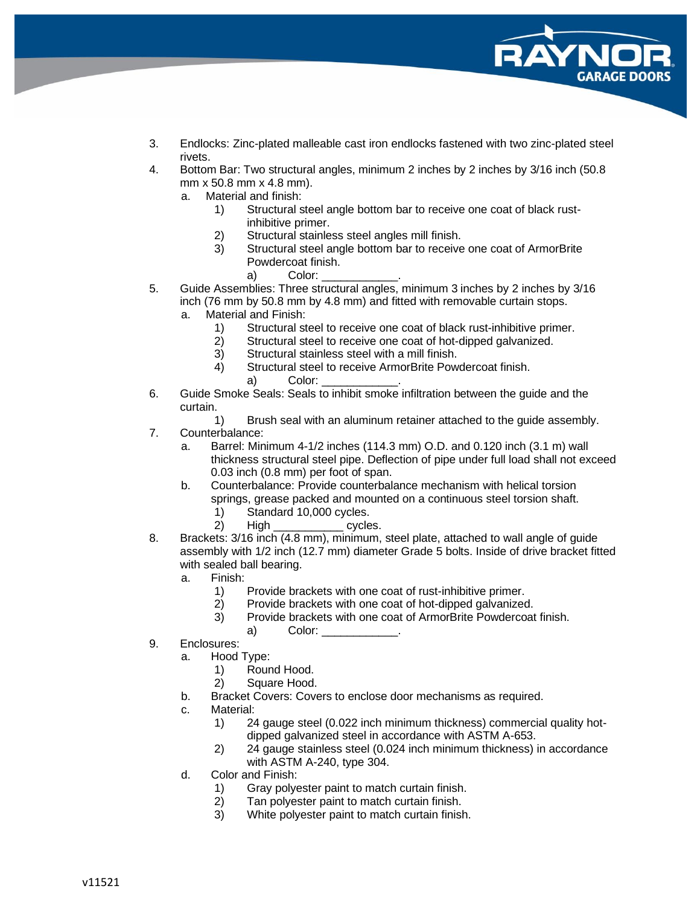

- 3. Endlocks: Zinc-plated malleable cast iron endlocks fastened with two zinc-plated steel rivets.
- 4. Bottom Bar: Two structural angles, minimum 2 inches by 2 inches by 3/16 inch (50.8 mm x 50.8 mm x 4.8 mm).
	- a. Material and finish:
		- 1) Structural steel angle bottom bar to receive one coat of black rustinhibitive primer.
		- 2) Structural stainless steel angles mill finish.
		- 3) Structural steel angle bottom bar to receive one coat of ArmorBrite Powdercoat finish.
			- a) Color:
- 5. Guide Assemblies: Three structural angles, minimum 3 inches by 2 inches by 3/16 inch (76 mm by 50.8 mm by 4.8 mm) and fitted with removable curtain stops.
	- a. Material and Finish:
		- 1) Structural steel to receive one coat of black rust-inhibitive primer.
		- 2) Structural steel to receive one coat of hot-dipped galvanized.
		- 3) Structural stainless steel with a mill finish.
		- 4) Structural steel to receive ArmorBrite Powdercoat finish.
			- a) Color:
- 6. Guide Smoke Seals: Seals to inhibit smoke infiltration between the guide and the curtain.
	- 1) Brush seal with an aluminum retainer attached to the guide assembly.
- 7. Counterbalance:
	- a. Barrel: Minimum 4-1/2 inches (114.3 mm) O.D. and 0.120 inch (3.1 m) wall thickness structural steel pipe. Deflection of pipe under full load shall not exceed 0.03 inch (0.8 mm) per foot of span.
	- b. Counterbalance: Provide counterbalance mechanism with helical torsion springs, grease packed and mounted on a continuous steel torsion shaft.
		- 1) Standard 10,000 cycles.
		- 2) High cycles.
- 8. Brackets: 3/16 inch (4.8 mm), minimum, steel plate, attached to wall angle of guide assembly with 1/2 inch (12.7 mm) diameter Grade 5 bolts. Inside of drive bracket fitted with sealed ball bearing.
	- a. Finish:
		- 1) Provide brackets with one coat of rust-inhibitive primer.
		- 2) Provide brackets with one coat of hot-dipped galvanized.
		- 3) Provide brackets with one coat of ArmorBrite Powdercoat finish.
			- a) Color:
- 9. Enclosures:
	- a. Hood Type:
		- 1) Round Hood.
		- 2) Square Hood.
	- b. Bracket Covers: Covers to enclose door mechanisms as required.
	- c. Material:
		- 1) 24 gauge steel (0.022 inch minimum thickness) commercial quality hotdipped galvanized steel in accordance with ASTM A-653.
		- 2) 24 gauge stainless steel (0.024 inch minimum thickness) in accordance with ASTM A-240, type 304.
	- d. Color and Finish:
		- 1) Gray polyester paint to match curtain finish.
		- 2) Tan polyester paint to match curtain finish.
		- 3) White polyester paint to match curtain finish.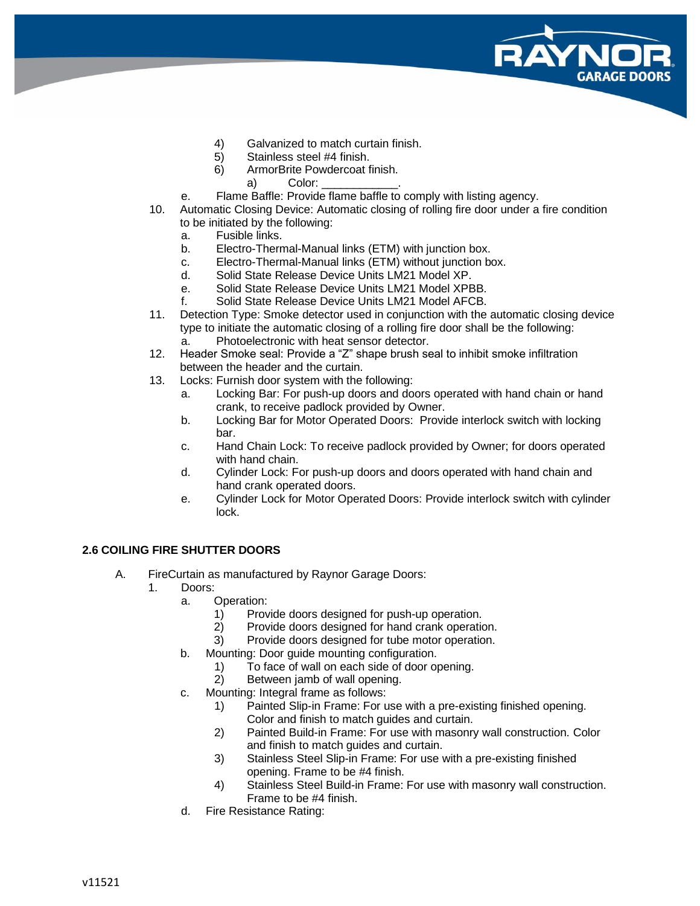

- 4) Galvanized to match curtain finish.
- 5) Stainless steel #4 finish.
- 6) ArmorBrite Powdercoat finish.
- a) Color:
- e. Flame Baffle: Provide flame baffle to comply with listing agency.
- 10. Automatic Closing Device: Automatic closing of rolling fire door under a fire condition to be initiated by the following:
	- a. Fusible links.
	- b. Electro-Thermal-Manual links (ETM) with junction box.
	- c. Electro-Thermal-Manual links (ETM) without junction box.
	- d. Solid State Release Device Units LM21 Model XP.
	- e. Solid State Release Device Units LM21 Model XPBB.
	- f. Solid State Release Device Units LM21 Model AFCB.
- 11. Detection Type: Smoke detector used in conjunction with the automatic closing device type to initiate the automatic closing of a rolling fire door shall be the following: a. Photoelectronic with heat sensor detector.
- 12. Header Smoke seal: Provide a "Z" shape brush seal to inhibit smoke infiltration between the header and the curtain.
- 13. Locks: Furnish door system with the following:
	- a. Locking Bar: For push-up doors and doors operated with hand chain or hand crank, to receive padlock provided by Owner.
	- b. Locking Bar for Motor Operated Doors: Provide interlock switch with locking bar.
	- c. Hand Chain Lock: To receive padlock provided by Owner; for doors operated with hand chain.
	- d. Cylinder Lock: For push-up doors and doors operated with hand chain and hand crank operated doors.
	- e. Cylinder Lock for Motor Operated Doors: Provide interlock switch with cylinder lock.

## **2.6 COILING FIRE SHUTTER DOORS**

- A. FireCurtain as manufactured by Raynor Garage Doors:
	- 1. Doors:
		- a. Operation:
			- 1) Provide doors designed for push-up operation.
			- 2) Provide doors designed for hand crank operation.
			- 3) Provide doors designed for tube motor operation.
		- b. Mounting: Door guide mounting configuration.
			- 1) To face of wall on each side of door opening.
			- 2) Between jamb of wall opening.
		- c. Mounting: Integral frame as follows:
			- 1) Painted Slip-in Frame: For use with a pre-existing finished opening. Color and finish to match guides and curtain.
			- 2) Painted Build-in Frame: For use with masonry wall construction. Color and finish to match guides and curtain.
			- 3) Stainless Steel Slip-in Frame: For use with a pre-existing finished opening. Frame to be #4 finish.
			- 4) Stainless Steel Build-in Frame: For use with masonry wall construction. Frame to be #4 finish.
		- d. Fire Resistance Rating: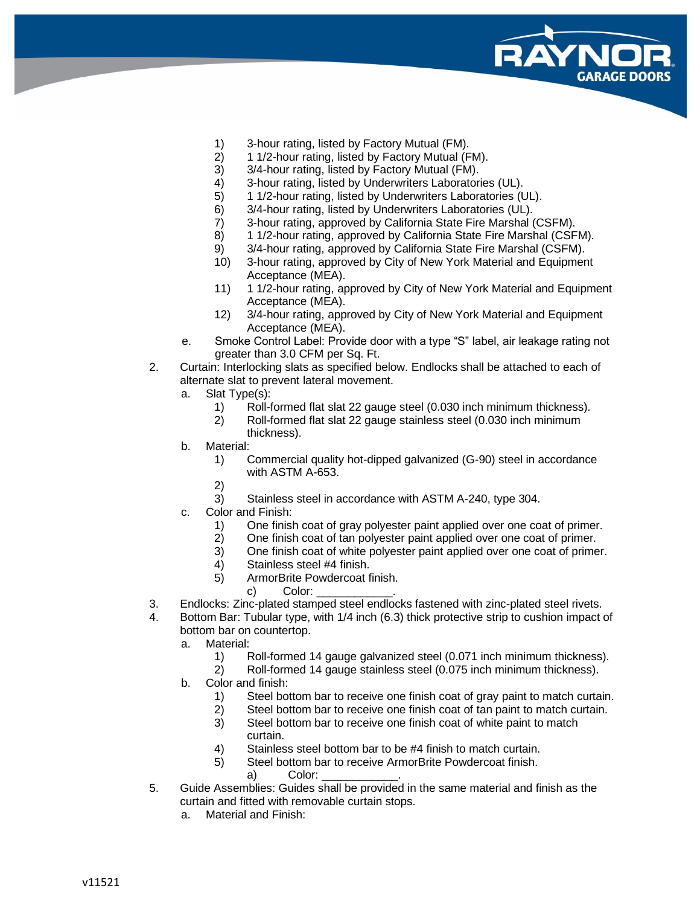

- 1) 3-hour rating, listed by Factory Mutual (FM).
- 2) 1 1/2-hour rating, listed by Factory Mutual (FM).
- 3) 3/4-hour rating, listed by Factory Mutual (FM).<br>4) 3-hour rating, listed by Underwriters Laborator
- 4) 3-hour rating, listed by Underwriters Laboratories (UL).<br>5) 1 1/2-hour rating, listed by Underwriters Laboratories (U
- 5) 1 1/2-hour rating, listed by Underwriters Laboratories (UL).
- 6) 3/4-hour rating, listed by Underwriters Laboratories (UL).<br>7) 3-hour rating, approved by California State Fire Marshal (
- 3-hour rating, approved by California State Fire Marshal (CSFM).
- 8) 1 1/2-hour rating, approved by California State Fire Marshal (CSFM).
- 9) 3/4-hour rating, approved by California State Fire Marshal (CSFM).
- 10) 3-hour rating, approved by City of New York Material and Equipment Acceptance (MEA).
- 11) 1 1/2-hour rating, approved by City of New York Material and Equipment Acceptance (MEA).
- 12) 3/4-hour rating, approved by City of New York Material and Equipment Acceptance (MEA).
- e. Smoke Control Label: Provide door with a type "S" label, air leakage rating not greater than 3.0 CFM per Sq. Ft.
- 2. Curtain: Interlocking slats as specified below. Endlocks shall be attached to each of alternate slat to prevent lateral movement.
	- a. Slat Type(s):
		- 1) Roll-formed flat slat 22 gauge steel (0.030 inch minimum thickness).
		- 2) Roll-formed flat slat 22 gauge stainless steel (0.030 inch minimum thickness).
	- b. Material:
		- 1) Commercial quality hot-dipped galvanized (G-90) steel in accordance with ASTM A-653.
		- 2)
		- 3) Stainless steel in accordance with ASTM A-240, type 304.
	- c. Color and Finish:
		- 1) One finish coat of gray polyester paint applied over one coat of primer.
		- 2) One finish coat of tan polyester paint applied over one coat of primer.
		- 3) One finish coat of white polyester paint applied over one coat of primer.
		- 4) Stainless steel #4 finish.
		- 5) ArmorBrite Powdercoat finish.
			- c) Color:
- 3. Endlocks: Zinc-plated stamped steel endlocks fastened with zinc-plated steel rivets.
- 4. Bottom Bar: Tubular type, with 1/4 inch (6.3) thick protective strip to cushion impact of bottom bar on countertop.
	- a. Material:
		- 1) Roll-formed 14 gauge galvanized steel (0.071 inch minimum thickness).
		- 2) Roll-formed 14 gauge stainless steel (0.075 inch minimum thickness).
	- b. Color and finish:
		- 1) Steel bottom bar to receive one finish coat of gray paint to match curtain.
		- 2) Steel bottom bar to receive one finish coat of tan paint to match curtain.
		- 3) Steel bottom bar to receive one finish coat of white paint to match curtain.
		- 4) Stainless steel bottom bar to be #4 finish to match curtain.
		- 5) Steel bottom bar to receive ArmorBrite Powdercoat finish.
			- a) Color:
- 5. Guide Assemblies: Guides shall be provided in the same material and finish as the curtain and fitted with removable curtain stops.
	- a. Material and Finish: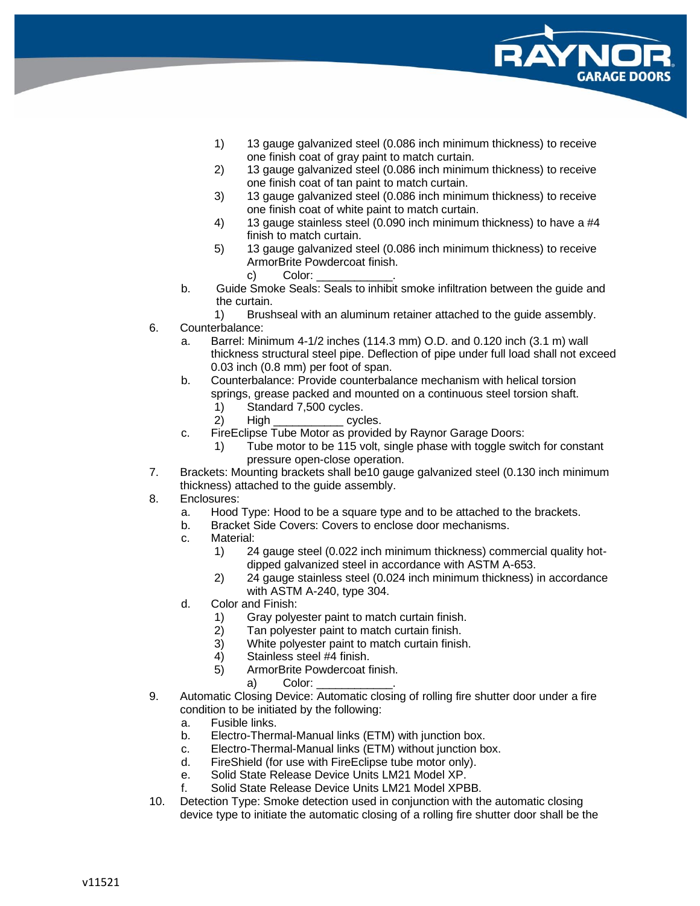

- 1) 13 gauge galvanized steel (0.086 inch minimum thickness) to receive one finish coat of gray paint to match curtain.
- 2) 13 gauge galvanized steel (0.086 inch minimum thickness) to receive one finish coat of tan paint to match curtain.
- 3) 13 gauge galvanized steel (0.086 inch minimum thickness) to receive one finish coat of white paint to match curtain.
- 4) 13 gauge stainless steel (0.090 inch minimum thickness) to have a #4 finish to match curtain.
- 5) 13 gauge galvanized steel (0.086 inch minimum thickness) to receive ArmorBrite Powdercoat finish.
	- c) Color:
- b. Guide Smoke Seals: Seals to inhibit smoke infiltration between the guide and the curtain.

1) Brushseal with an aluminum retainer attached to the guide assembly.

- 6. Counterbalance:
	- a. Barrel: Minimum 4-1/2 inches (114.3 mm) O.D. and 0.120 inch (3.1 m) wall thickness structural steel pipe. Deflection of pipe under full load shall not exceed 0.03 inch (0.8 mm) per foot of span.
	- b. Counterbalance: Provide counterbalance mechanism with helical torsion springs, grease packed and mounted on a continuous steel torsion shaft.
		- 1) Standard 7,500 cycles.
		- 2) High cycles.
	- c. FireEclipse Tube Motor as provided by Raynor Garage Doors:
		- 1) Tube motor to be 115 volt, single phase with toggle switch for constant pressure open-close operation.
- 7. Brackets: Mounting brackets shall be10 gauge galvanized steel (0.130 inch minimum thickness) attached to the guide assembly.
- 8. Enclosures:
	- a. Hood Type: Hood to be a square type and to be attached to the brackets.
	- b. Bracket Side Covers: Covers to enclose door mechanisms.
	- c. Material:
		- 1) 24 gauge steel (0.022 inch minimum thickness) commercial quality hotdipped galvanized steel in accordance with ASTM A-653.
		- 2) 24 gauge stainless steel (0.024 inch minimum thickness) in accordance with ASTM A-240, type 304.
	- d. Color and Finish:
		- 1) Gray polyester paint to match curtain finish.<br>2) Tan polyester paint to match curtain finish.
		- Tan polyester paint to match curtain finish.
		- 3) White polyester paint to match curtain finish.
		- 4) Stainless steel #4 finish.
		- 5) ArmorBrite Powdercoat finish.
			- a) Color:
- 9. Automatic Closing Device: Automatic closing of rolling fire shutter door under a fire condition to be initiated by the following:
	- a. Fusible links.
	- b. Electro-Thermal-Manual links (ETM) with junction box.
	- c. Electro-Thermal-Manual links (ETM) without junction box.
	- d. FireShield (for use with FireEclipse tube motor only).
	- e. Solid State Release Device Units LM21 Model XP.
	- f. Solid State Release Device Units LM21 Model XPBB.
- 10. Detection Type: Smoke detection used in conjunction with the automatic closing device type to initiate the automatic closing of a rolling fire shutter door shall be the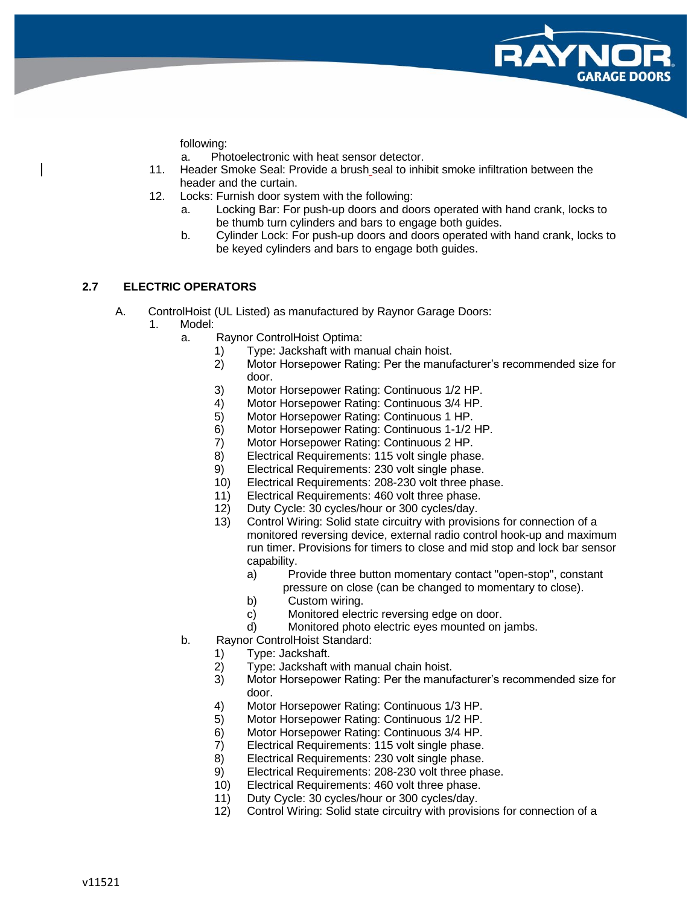

following:

a. Photoelectronic with heat sensor detector.

- 11. Header Smoke Seal: Provide a brush seal to inhibit smoke infiltration between the header and the curtain.
- 12. Locks: Furnish door system with the following:
	- a. Locking Bar: For push-up doors and doors operated with hand crank, locks to be thumb turn cylinders and bars to engage both guides.
	- b. Cylinder Lock: For push-up doors and doors operated with hand crank, locks to be keyed cylinders and bars to engage both guides.

## **2.7 ELECTRIC OPERATORS**

- A. ControlHoist (UL Listed) as manufactured by Raynor Garage Doors:
	- 1. Model:
		- a. Raynor ControlHoist Optima:
			- 1) Type: Jackshaft with manual chain hoist.
			- 2) Motor Horsepower Rating: Per the manufacturer's recommended size for door.
			- 3) Motor Horsepower Rating: Continuous 1/2 HP.
			- 4) Motor Horsepower Rating: Continuous 3/4 HP.
			- 5) Motor Horsepower Rating: Continuous 1 HP.
			- 6) Motor Horsepower Rating: Continuous 1-1/2 HP.
			- 7) Motor Horsepower Rating: Continuous 2 HP.
			- 8) Electrical Requirements: 115 volt single phase.
			- 9) Electrical Requirements: 230 volt single phase.
			- 10) Electrical Requirements: 208-230 volt three phase.
			- 11) Electrical Requirements: 460 volt three phase.
			- 12) Duty Cycle: 30 cycles/hour or 300 cycles/day.
			- 13) Control Wiring: Solid state circuitry with provisions for connection of a monitored reversing device, external radio control hook-up and maximum run timer. Provisions for timers to close and mid stop and lock bar sensor capability.
				- a) Provide three button momentary contact "open-stop", constant
					- pressure on close (can be changed to momentary to close).
				- b) Custom wiring.
				- c) Monitored electric reversing edge on door.
				- d) Monitored photo electric eyes mounted on jambs.
		- b. Raynor ControlHoist Standard:
			- 1) Type: Jackshaft.
			- 2) Type: Jackshaft with manual chain hoist.
			- 3) Motor Horsepower Rating: Per the manufacturer's recommended size for door.
			- 4) Motor Horsepower Rating: Continuous 1/3 HP.
			- 5) Motor Horsepower Rating: Continuous 1/2 HP.
			- 6) Motor Horsepower Rating: Continuous 3/4 HP.
			- 7) Electrical Requirements: 115 volt single phase.
			- 8) Electrical Requirements: 230 volt single phase.
			- 9) Electrical Requirements: 208-230 volt three phase.
			- 10) Electrical Requirements: 460 volt three phase.
			- 11) Duty Cycle: 30 cycles/hour or 300 cycles/day.
			- 12) Control Wiring: Solid state circuitry with provisions for connection of a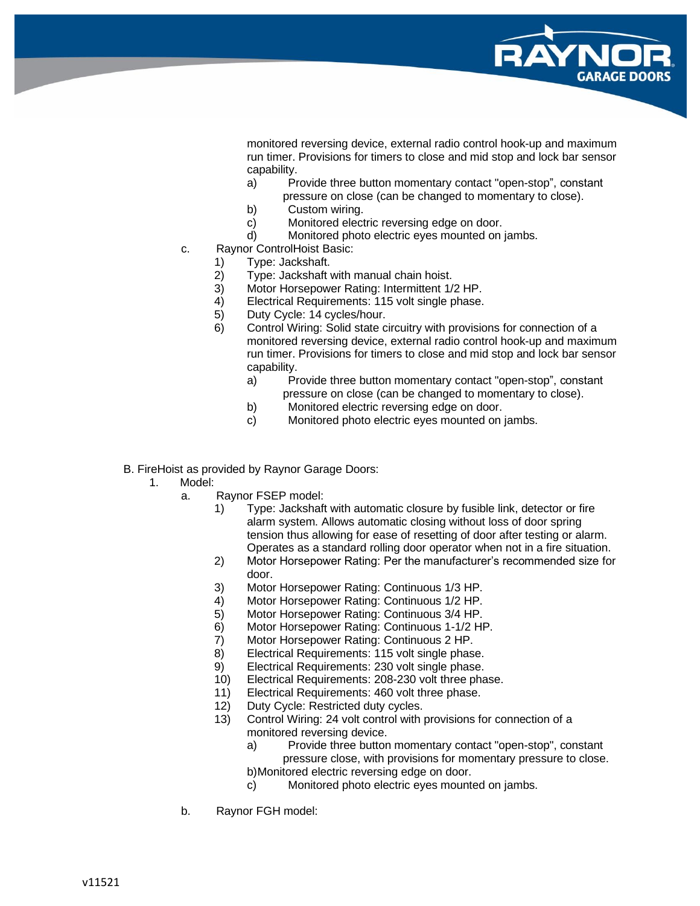

monitored reversing device, external radio control hook-up and maximum run timer. Provisions for timers to close and mid stop and lock bar sensor capability.

- a) Provide three button momentary contact "open-stop", constant pressure on close (can be changed to momentary to close).
- b) Custom wiring.
- c) Monitored electric reversing edge on door.
- d) Monitored photo electric eyes mounted on jambs.
- c. Raynor ControlHoist Basic:
	- 1) Type: Jackshaft.
	- 2) Type: Jackshaft with manual chain hoist.
	- 3) Motor Horsepower Rating: Intermittent 1/2 HP.<br>4) Electrical Requirements: 115 volt single phase.
	- Electrical Requirements: 115 volt single phase.
	- 5) Duty Cycle: 14 cycles/hour.
	- 6) Control Wiring: Solid state circuitry with provisions for connection of a monitored reversing device, external radio control hook-up and maximum run timer. Provisions for timers to close and mid stop and lock bar sensor capability.
		- a) Provide three button momentary contact "open-stop", constant pressure on close (can be changed to momentary to close).
		- b) Monitored electric reversing edge on door.
		- c) Monitored photo electric eyes mounted on jambs.
- B. FireHoist as provided by Raynor Garage Doors:
	- 1. Model:
		- a. Raynor FSEP model:
			- 1) Type: Jackshaft with automatic closure by fusible link, detector or fire alarm system. Allows automatic closing without loss of door spring tension thus allowing for ease of resetting of door after testing or alarm. Operates as a standard rolling door operator when not in a fire situation.
			- 2) Motor Horsepower Rating: Per the manufacturer's recommended size for door.
			- 3) Motor Horsepower Rating: Continuous 1/3 HP.
			- 4) Motor Horsepower Rating: Continuous 1/2 HP.
			- 5) Motor Horsepower Rating: Continuous 3/4 HP.
			- 6) Motor Horsepower Rating: Continuous 1-1/2 HP.
			- 7) Motor Horsepower Rating: Continuous 2 HP.
			- 8) Electrical Requirements: 115 volt single phase.
			- 9) Electrical Requirements: 230 volt single phase.
			- 10) Electrical Requirements: 208-230 volt three phase.
			- 11) Electrical Requirements: 460 volt three phase.
			- 12) Duty Cycle: Restricted duty cycles.
			- 13) Control Wiring: 24 volt control with provisions for connection of a monitored reversing device.
				- a) Provide three button momentary contact "open-stop", constant pressure close, with provisions for momentary pressure to close.
				- b)Monitored electric reversing edge on door.
				- c) Monitored photo electric eyes mounted on jambs.
		- b. Raynor FGH model: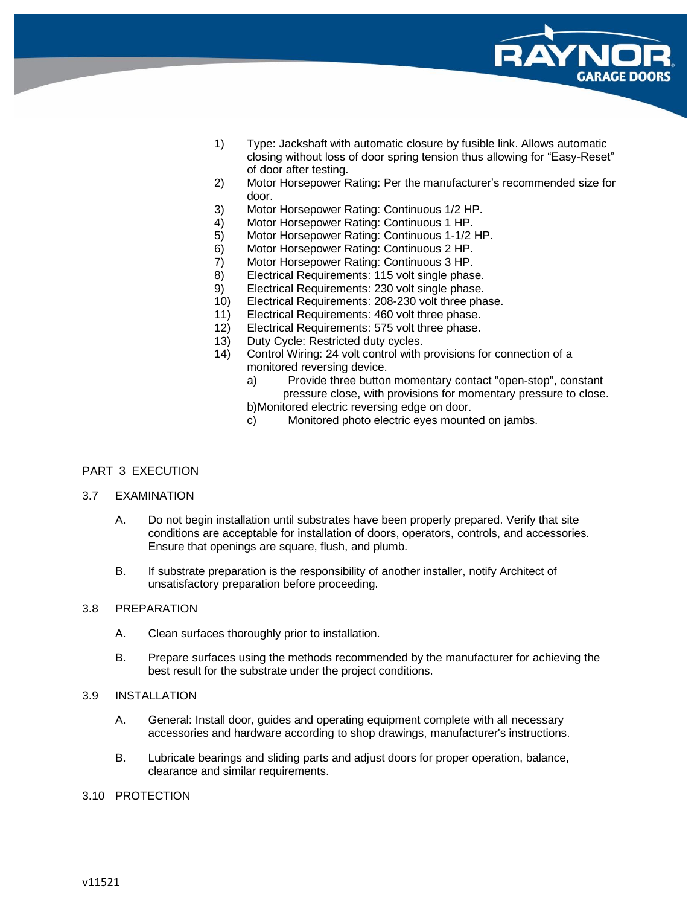

- 1) Type: Jackshaft with automatic closure by fusible link. Allows automatic closing without loss of door spring tension thus allowing for "Easy-Reset" of door after testing.
- 2) Motor Horsepower Rating: Per the manufacturer's recommended size for door.
- 3) Motor Horsepower Rating: Continuous 1/2 HP.
- 4) Motor Horsepower Rating: Continuous 1 HP.
- 5) Motor Horsepower Rating: Continuous 1-1/2 HP.
- 6) Motor Horsepower Rating: Continuous 2 HP.
- 7) Motor Horsepower Rating: Continuous 3 HP.
- 8) Electrical Requirements: 115 volt single phase.
- 9) Electrical Requirements: 230 volt single phase.
- 10) Electrical Requirements: 208-230 volt three phase.
- 11) Electrical Requirements: 460 volt three phase.
- 12) Electrical Requirements: 575 volt three phase.
- 13) Duty Cycle: Restricted duty cycles.
- 14) Control Wiring: 24 volt control with provisions for connection of a monitored reversing device.
	- a) Provide three button momentary contact "open-stop", constant pressure close, with provisions for momentary pressure to close. b)Monitored electric reversing edge on door.
	- c) Monitored photo electric eyes mounted on jambs.

## PART 3 EXECUTION

#### 3.7 EXAMINATION

- A. Do not begin installation until substrates have been properly prepared. Verify that site conditions are acceptable for installation of doors, operators, controls, and accessories. Ensure that openings are square, flush, and plumb.
- B. If substrate preparation is the responsibility of another installer, notify Architect of unsatisfactory preparation before proceeding.

#### 3.8 PREPARATION

- A. Clean surfaces thoroughly prior to installation.
- B. Prepare surfaces using the methods recommended by the manufacturer for achieving the best result for the substrate under the project conditions.

#### 3.9 INSTALLATION

- A. General: Install door, guides and operating equipment complete with all necessary accessories and hardware according to shop drawings, manufacturer's instructions.
- B. Lubricate bearings and sliding parts and adjust doors for proper operation, balance, clearance and similar requirements.

#### 3.10 PROTECTION